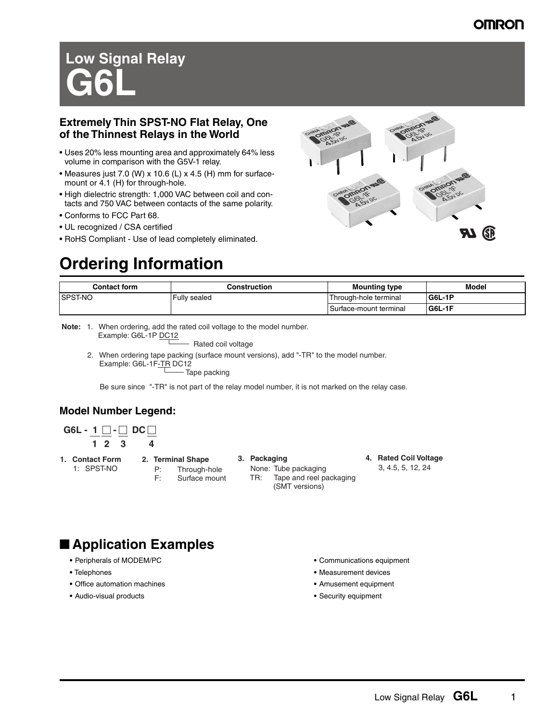# **Low Signal Relay G6L**

## **Extremely Thin SPST-NO Flat Relay, One of the Thinnest Relays in the World**

- Uses 20% less mounting area and approximately 64% less volume in comparison with the G5V-1 relay.
- Measures just 7.0 (W) x 10.6 (L) x 4.5 (H) mm for surfacemount or 4.1 (H) for through-hole.
- High dielectric strength: 1,000 VAC between coil and contacts and 750 VAC between contacts of the same polarity.
- Conforms to FCC Part 68.
- UL recognized / CSA certified
- RoHS Compliant Use of lead completely eliminated.

# **Ordering Information**



| <b>Contact form</b> | Construction | <b>Mounting type</b>     | <b>Model</b> |  |  |  |  |
|---------------------|--------------|--------------------------|--------------|--|--|--|--|
| <b>ISPST-NO</b>     | Fully sealed | Through-hole terminal    | G6L-1P       |  |  |  |  |
|                     |              | l Surface-mount terminal | $ G6L-1F$    |  |  |  |  |

**Note:** 1. When ordering, add the rated coil voltage to the model number. Example: G6L-1P DC12

Rated coil voltage

 2. When ordering tape packing (surface mount versions), add "-TR" to the model number. Example: G6L-1F-TR DC12 Tape packing

Be sure since "-TR" is not part of the relay model number, it is not marked on the relay case.

## **Model Number Legend:**

**G6L - 1**  $\Box$  - $\Box$  **DC**  $\Box$ **1 2 3 4**

- **1. Contact Form** 1: SPST-NO
- **2. Terminal Shape** P: Through-hole F: Surface mount

### **3. Packaging**

 None: Tube packaging TR: Tape and reel packaging (SMT versions)

**4. Rated Coil Voltage** 3, 4.5, 5, 12, 24

- **Application Examples** 
	- **•** Peripherals of MODEM/PC
	- **•** Telephones
	- **•** Office automation machines
	- **•** Audio-visual products
- **•** Communications equipment
- **•** Measurement devices
- **•** Amusement equipment
- **•** Security equipment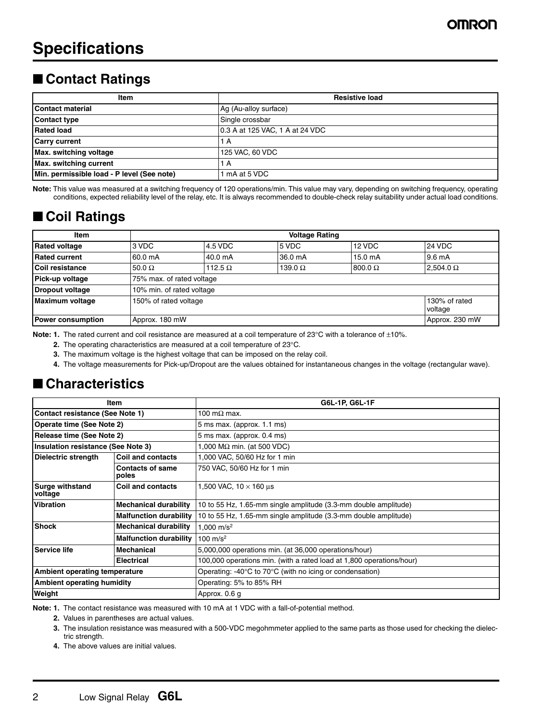# ■ **Contact Ratings**

| Item                                       | <b>Resistive load</b>           |  |  |  |  |  |  |
|--------------------------------------------|---------------------------------|--|--|--|--|--|--|
| Contact material                           | Ag (Au-alloy surface)           |  |  |  |  |  |  |
| Contact type                               | Single crossbar                 |  |  |  |  |  |  |
| Rated load                                 | 0.3 A at 125 VAC, 1 A at 24 VDC |  |  |  |  |  |  |
| <b>Carry current</b>                       | A                               |  |  |  |  |  |  |
| Max. switching voltage                     | 125 VAC, 60 VDC                 |  |  |  |  |  |  |
| Max. switching current                     | A                               |  |  |  |  |  |  |
| Min. permissible load - P level (See note) | mA at 5 VDC                     |  |  |  |  |  |  |

**Note:** This value was measured at a switching frequency of 120 operations/min. This value may vary, depending on switching frequency, operating conditions, expected reliability level of the relay, etc. It is always recommended to double-check relay suitability under actual load conditions.

# ■ Coil Ratings

| <b>Item</b>          |                           | <b>Voltage Rating</b>     |                |                   |                  |  |  |  |  |  |  |  |  |  |
|----------------------|---------------------------|---------------------------|----------------|-------------------|------------------|--|--|--|--|--|--|--|--|--|
| <b>Rated voltage</b> | 3 VDC                     | 4.5 VDC                   | 5 VDC          | 12 VDC            | 24 VDC           |  |  |  |  |  |  |  |  |  |
| <b>Rated current</b> | 160.0 mA                  | 40.0 mA                   | 36.0 mA        | $15.0 \text{ mA}$ | 19.6 mA          |  |  |  |  |  |  |  |  |  |
| l Coil resistance    | $50.0 \Omega$             | 112.5 $\Omega$            | 139.0 $\Omega$ | $800.0 \Omega$    | $2,504.0 \Omega$ |  |  |  |  |  |  |  |  |  |
| Pick-up voltage      |                           | 75% max. of rated voltage |                |                   |                  |  |  |  |  |  |  |  |  |  |
| Dropout voltage      | 10% min. of rated voltage |                           |                |                   |                  |  |  |  |  |  |  |  |  |  |
| Maximum voltage      | 150% of rated voltage     | 130% of rated<br>voltage  |                |                   |                  |  |  |  |  |  |  |  |  |  |
| Power consumption    | Approx. 180 mW            | Approx. 230 mW            |                |                   |                  |  |  |  |  |  |  |  |  |  |

**Note: 1.** The rated current and coil resistance are measured at a coil temperature of 23°C with a tolerance of ±10%.

**2.** The operating characteristics are measured at a coil temperature of 23°C.

**3.** The maximum voltage is the highest voltage that can be imposed on the relay coil.

**4.** The voltage measurements for Pick-up/Dropout are the values obtained for instantaneous changes in the voltage (rectangular wave).

# ■ **Characteristics**

|                                      | Item                             | G6L-1P, G6L-1F                                                               |  |  |  |  |  |  |
|--------------------------------------|----------------------------------|------------------------------------------------------------------------------|--|--|--|--|--|--|
| Contact resistance (See Note 1)      |                                  | 100 m $\Omega$ max.                                                          |  |  |  |  |  |  |
| Operate time (See Note 2)            |                                  | $5$ ms max. (approx. $1.1$ ms)                                               |  |  |  |  |  |  |
| Release time (See Note 2)            |                                  | 5 ms max. (approx. 0.4 ms)                                                   |  |  |  |  |  |  |
| Insulation resistance (See Note 3)   |                                  | 1,000 M $\Omega$ min. (at 500 VDC)                                           |  |  |  |  |  |  |
| Dielectric strength                  | Coil and contacts                | 1,000 VAC, 50/60 Hz for 1 min                                                |  |  |  |  |  |  |
|                                      | <b>Contacts of same</b><br>poles | 750 VAC, 50/60 Hz for 1 min                                                  |  |  |  |  |  |  |
| <b>Surge withstand</b><br>voltage    | Coil and contacts                | 1,500 VAC, $10 \times 160$ us                                                |  |  |  |  |  |  |
| <b>IVibration</b>                    | <b>Mechanical durability</b>     | 10 to 55 Hz, 1.65-mm single amplitude (3.3-mm double amplitude)              |  |  |  |  |  |  |
|                                      | <b>Malfunction durability</b>    | 10 to 55 Hz, 1.65-mm single amplitude (3.3-mm double amplitude)              |  |  |  |  |  |  |
| <b>Shock</b>                         | <b>Mechanical durability</b>     | 1.000 $m/s^2$                                                                |  |  |  |  |  |  |
|                                      | <b>Malfunction durability</b>    | 100 m/s <sup>2</sup>                                                         |  |  |  |  |  |  |
| <b>Service life</b>                  | Mechanical                       | 5,000,000 operations min. (at 36,000 operations/hour)                        |  |  |  |  |  |  |
|                                      | <b>Electrical</b>                | 100,000 operations min. (with a rated load at 1,800 operations/hour)         |  |  |  |  |  |  |
| <b>Ambient operating temperature</b> |                                  | Operating: -40 $\degree$ C to 70 $\degree$ C (with no icing or condensation) |  |  |  |  |  |  |
| <b>Ambient operating humidity</b>    |                                  | Operating: 5% to 85% RH                                                      |  |  |  |  |  |  |
| Weight                               |                                  | Approx. 0.6 g                                                                |  |  |  |  |  |  |

**Note: 1.** The contact resistance was measured with 10 mA at 1 VDC with a fall-of-potential method.

**2.** Values in parentheses are actual values.

**3.** The insulation resistance was measured with a 500-VDC megohmmeter applied to the same parts as those used for checking the dielectric strength.

**4.** The above values are initial values.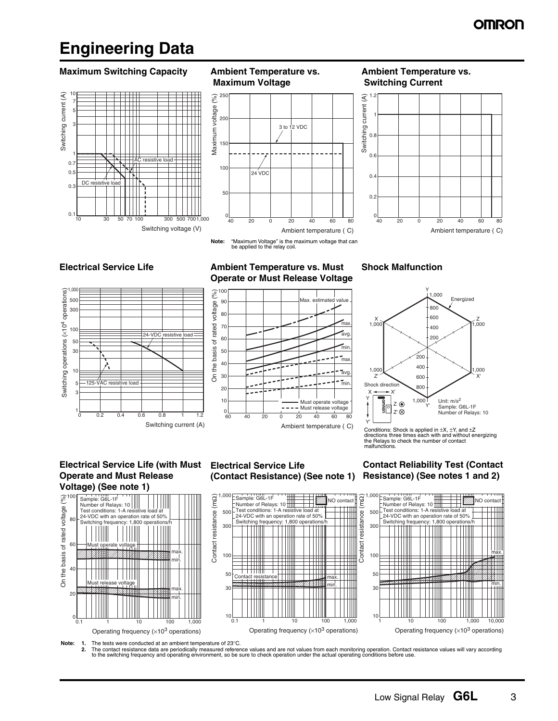# **Engineering Data**

### **Maximum Switching Capacity Ambient Temperature vs.**



**Maximum Voltage**  $(%)$ 250 Maximum voltage (%) Maximum voltage  $200$ 3 to 12 VDC

24 VDC

150

100

50

 $0\frac{1}{40}$ 

### **Ambient Temperature vs. Switching Current**



**Note:** "Maximum Voltage" is the maximum voltage that can be applied to the relay coil.

40 20 0 20 40 60 80

Ambient temperature ( C)



### **Electrical Service Life Manufally Ambient Temperature vs. Must Operate or Must Release Voltage**



## **Shock Malfunction**



Conditions: Shock is applied in  $\pm X$ ,  $\pm Y$ , and  $\pm Z$ directions three times each with and without energizing the Relays to check the number of contact malfunctions.

### **Electrical Service Life (with Must Operate and Must Release Voltage) (See note 1)**



## **Electrical Service Life (Contact Resistance) (See note 1)**

**Contact Reliability Test (Contact Resistance) (See notes 1 and 2)**





**Note:** 1. The tests were conducted at an ambient temperature of 23°C.<br>2. The contact resistance data are periodically measured referer

2. The contact resistance data are periodically measured reference values and are not values from each monitoring operation. Contact resistance values will vary according<br>to the switching frequency and operating environmen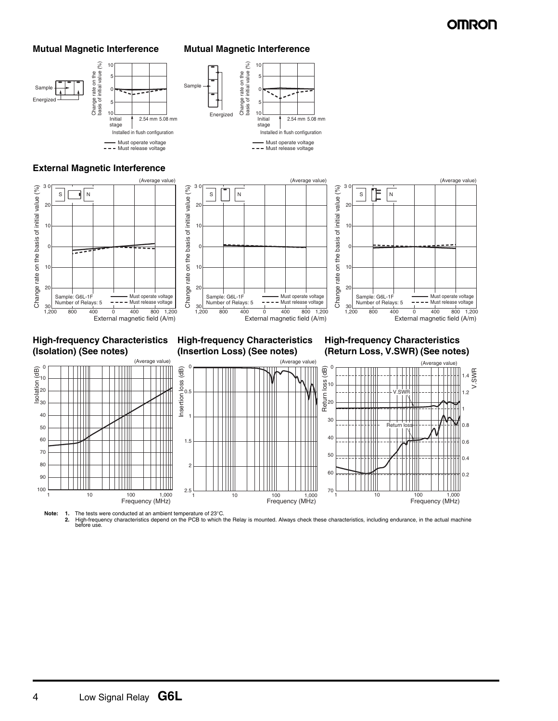



### **External Magnetic Interference**







**High-frequency Characteristics (Isolation) (See notes)**

### **High-frequency Characteristics (Insertion Loss) (See notes)**

### **High-frequency Characteristics (Return Loss, V.SWR) (See notes)**



Note: 1. The tests were conducted at an ambient temperature of 23°C.<br>2. High-frequency characteristics depend on the PCB to which the Relay is mounted. Always check these characteristics, including endurance, in the actual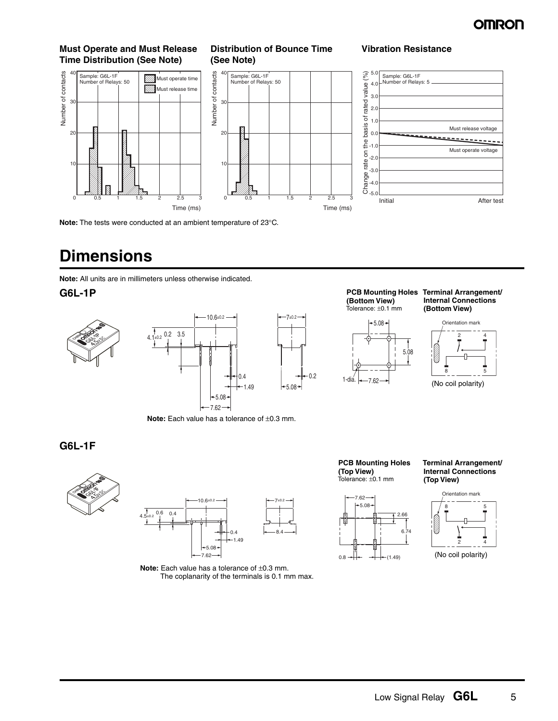

### **Must Operate and Must Release Time Distribution (See Note)**



## **Distribution of Bounce Time (See Note)**





**Vibration Resistance**

**Note:** The tests were conducted at an ambient temperature of 23°C.

# **Dimensions**

**Note:** All units are in millimeters unless otherwise indicated.





**Note:** Each value has a tolerance of ±0.3 mm.

**(Bottom View)** Tolerance: ±0.1 mm



### **G6L-1P PCB Mounting Holes Terminal Arrangement/ Internal Connections (Bottom View)**



(No coil polarity)

**G6L-1F**





**Note:** Each value has a tolerance of ±0.3 mm. The coplanarity of the terminals is 0.1 mm max.

**PCB Mounting Holes (Top View)** Tolerance: ±0.1 mm

 $0.8 \rightarrow + + +$  (1.49)

2.66 6.74

7.62  $-5.08$ 



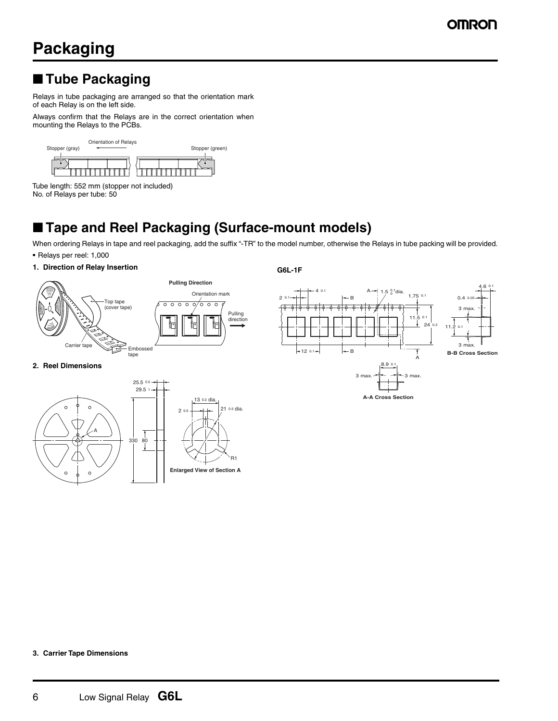# ■ **Tube Packaging**

Relays in tube packaging are arranged so that the orientation mark of each Relay is on the left side.

Always confirm that the Relays are in the correct orientation when mounting the Relays to the PCBs.



Tube length: 552 mm (stopper not included) No. of Relays per tube: 50

# ■ **Tape and Reel Packaging (Surface-mount models)**

When ordering Relays in tape and reel packaging, add the suffix "-TR" to the model number, otherwise the Relays in tube packing will be provided. **•** Relays per reel: 1,000

2 0.1

**G6L-1F**

**1. Direction of Relay Insertion**



# 4 0.1



### **A-A Cross Section**

### **2. Reel Dimensions**



**3. Carrier Tape Dimensions**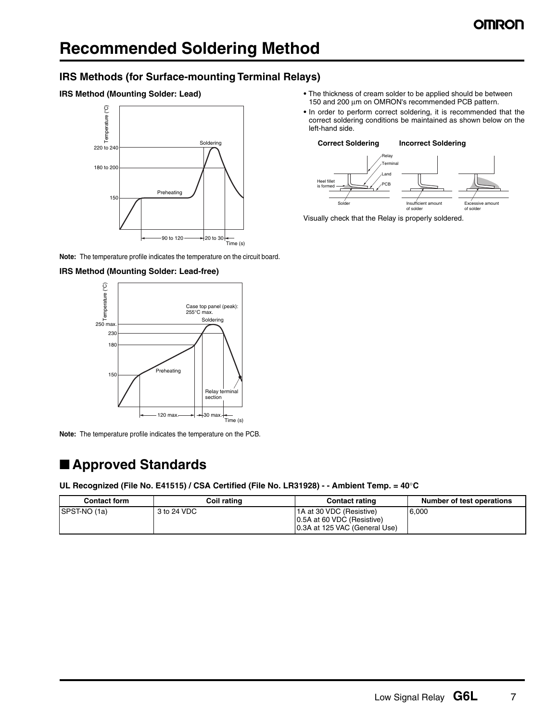## **IRS Methods (for Surface-mounting Terminal Relays)**





**Note:** The temperature profile indicates the temperature on the circuit board.

### **IRS Method (Mounting Solder: Lead-free)**



**Note:** The temperature profile indicates the temperature on the PCB.

# ■ **Approved Standards**

### **UL Recognized (File No. E41515) / CSA Certified (File No. LR31928) - - Ambient Temp. = 40**°**C**

| <b>Contact form</b> | Coil rating | <b>Contact rating</b>                                                                     | <b>Number of test operations</b> |
|---------------------|-------------|-------------------------------------------------------------------------------------------|----------------------------------|
| SPST-NO (1a)        | 3 to 24 VDC | 1A at 30 VDC (Resistive)<br>10.5A at 60 VDC (Resistive)<br>10.3A at 125 VAC (General Use) | 6.000                            |

- **•** The thickness of cream solder to be applied should be between 150 and 200 μm on OMRON's recommended PCB pattern.
- **•** In order to perform correct soldering, it is recommended that the correct soldering conditions be maintained as shown below on the left-hand side.



Visually check that the Relay is properly soldered.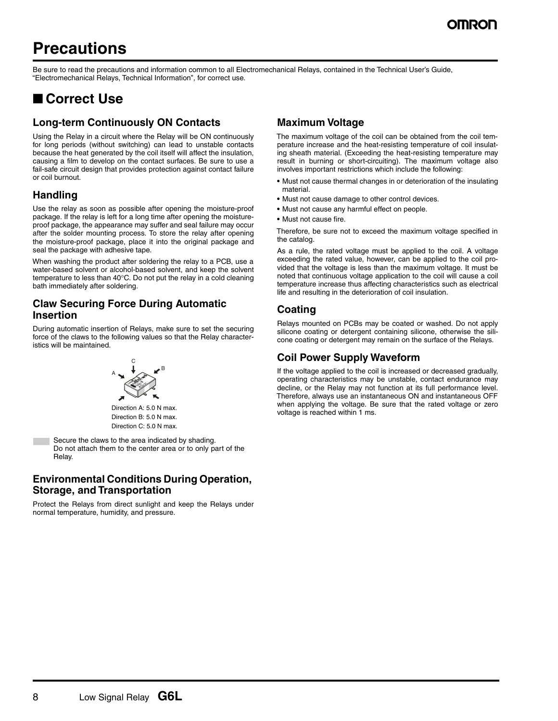# **Precautions**

Be sure to read the precautions and information common to all Electromechanical Relays, contained in the Technical User's Guide, "Electromechanical Relays, Technical Information", for correct use.

# ■ **Correct Use**

## **Long-term Continuously ON Contacts**

Using the Relay in a circuit where the Relay will be ON continuously for long periods (without switching) can lead to unstable contacts because the heat generated by the coil itself will affect the insulation, causing a film to develop on the contact surfaces. Be sure to use a fail-safe circuit design that provides protection against contact failure or coil burnout.

## **Handling**

Use the relay as soon as possible after opening the moisture-proof package. If the relay is left for a long time after opening the moistureproof package, the appearance may suffer and seal failure may occur after the solder mounting process. To store the relay after opening the moisture-proof package, place it into the original package and seal the package with adhesive tape.

When washing the product after soldering the relay to a PCB, use a water-based solvent or alcohol-based solvent, and keep the solvent temperature to less than 40°C. Do not put the relay in a cold cleaning bath immediately after soldering.

## **Claw Securing Force During Automatic Insertion**

During automatic insertion of Relays, make sure to set the securing force of the claws to the following values so that the Relay characteristics will be maintained.



Direction A: 5.0 N max. Direction B: 5.0 N max. Direction C: 5.0 N max.

Secure the claws to the area indicated by shading. Do not attach them to the center area or to only part of the Relay.

## **Environmental Conditions During Operation, Storage, and Transportation**

Protect the Relays from direct sunlight and keep the Relays under normal temperature, humidity, and pressure.

## **Maximum Voltage**

The maximum voltage of the coil can be obtained from the coil temperature increase and the heat-resisting temperature of coil insulating sheath material. (Exceeding the heat-resisting temperature may result in burning or short-circuiting). The maximum voltage also involves important restrictions which include the following:

- **•** Must not cause thermal changes in or deterioration of the insulating material.
- **•** Must not cause damage to other control devices.
- **•** Must not cause any harmful effect on people.
- **•** Must not cause fire.

Therefore, be sure not to exceed the maximum voltage specified in the catalog.

As a rule, the rated voltage must be applied to the coil. A voltage exceeding the rated value, however, can be applied to the coil provided that the voltage is less than the maximum voltage. It must be noted that continuous voltage application to the coil will cause a coil temperature increase thus affecting characteristics such as electrical life and resulting in the deterioration of coil insulation.

## **Coating**

Relays mounted on PCBs may be coated or washed. Do not apply silicone coating or detergent containing silicone, otherwise the silicone coating or detergent may remain on the surface of the Relays.

## **Coil Power Supply Waveform**

If the voltage applied to the coil is increased or decreased gradually, operating characteristics may be unstable, contact endurance may decline, or the Relay may not function at its full performance level. Therefore, always use an instantaneous ON and instantaneous OFF when applying the voltage. Be sure that the rated voltage or zero voltage is reached within 1 ms.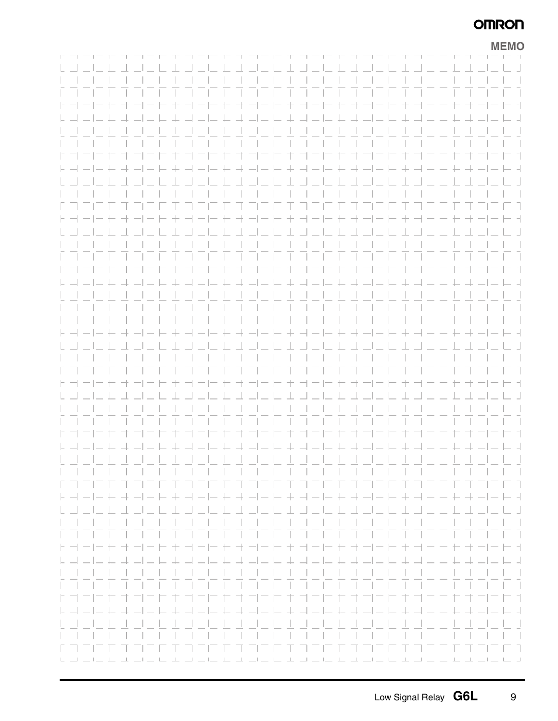|                  |                                                                                                                                                                                                                                                                                                                                                                                                                         |        |                                                                             |  |       |  |       |                |                                                                            |       |                                                                                                                                                                                                                                            |  |                                                                         |           |  |  |  |  | <b>MEMO</b>        |
|------------------|-------------------------------------------------------------------------------------------------------------------------------------------------------------------------------------------------------------------------------------------------------------------------------------------------------------------------------------------------------------------------------------------------------------------------|--------|-----------------------------------------------------------------------------|--|-------|--|-------|----------------|----------------------------------------------------------------------------|-------|--------------------------------------------------------------------------------------------------------------------------------------------------------------------------------------------------------------------------------------------|--|-------------------------------------------------------------------------|-----------|--|--|--|--|--------------------|
|                  |                                                                                                                                                                                                                                                                                                                                                                                                                         |        | --------------------------------                                            |  |       |  |       |                |                                                                            |       |                                                                                                                                                                                                                                            |  |                                                                         |           |  |  |  |  |                    |
|                  |                                                                                                                                                                                                                                                                                                                                                                                                                         |        |                                                                             |  |       |  |       |                |                                                                            |       |                                                                                                                                                                                                                                            |  |                                                                         |           |  |  |  |  |                    |
|                  |                                                                                                                                                                                                                                                                                                                                                                                                                         |        |                                                                             |  |       |  |       |                |                                                                            |       |                                                                                                                                                                                                                                            |  |                                                                         | $-1$ $-1$ |  |  |  |  |                    |
|                  |                                                                                                                                                                                                                                                                                                                                                                                                                         |        |                                                                             |  |       |  |       |                |                                                                            |       |                                                                                                                                                                                                                                            |  |                                                                         |           |  |  |  |  |                    |
|                  |                                                                                                                                                                                                                                                                                                                                                                                                                         |        | ト ゴート ト ゴ ー ト キ ゴ ー ー ト オ ー ー ト キ ゴ ー  ー ト オ ー  ー ト キ ゴ ー  ー                |  |       |  |       |                |                                                                            |       |                                                                                                                                                                                                                                            |  |                                                                         |           |  |  |  |  | オーートイ              |
|                  |                                                                                                                                                                                                                                                                                                                                                                                                                         |        |                                                                             |  |       |  |       |                |                                                                            |       |                                                                                                                                                                                                                                            |  |                                                                         |           |  |  |  |  |                    |
|                  |                                                                                                                                                                                                                                                                                                                                                                                                                         |        |                                                                             |  |       |  |       | $-1$ $-1$ $-1$ |                                                                            |       |                                                                                                                                                                                                                                            |  |                                                                         |           |  |  |  |  | and the state      |
|                  |                                                                                                                                                                                                                                                                                                                                                                                                                         |        |                                                                             |  |       |  |       |                |                                                                            |       |                                                                                                                                                                                                                                            |  |                                                                         |           |  |  |  |  | $\sim$ 1           |
|                  |                                                                                                                                                                                                                                                                                                                                                                                                                         |        |                                                                             |  |       |  |       |                | $\overline{a}$ $\overline{a}$ $\overline{a}$ $\overline{a}$ $\overline{a}$ |       | - 1                                                                                                                                                                                                                                        |  | $\sim$                                                                  | - 1       |  |  |  |  | - 1                |
| $\vdash$ $\lnot$ |                                                                                                                                                                                                                                                                                                                                                                                                                         |        |                                                                             |  |       |  |       |                |                                                                            |       | + - - - + + - - - + + - - + + - - - + + - - -                                                                                                                                                                                              |  |                                                                         |           |  |  |  |  | $  -$              |
|                  |                                                                                                                                                                                                                                                                                                                                                                                                                         |        |                                                                             |  |       |  |       |                |                                                                            |       |                                                                                                                                                                                                                                            |  |                                                                         |           |  |  |  |  | $\sim$ 1 $\sim$ 1  |
|                  |                                                                                                                                                                                                                                                                                                                                                                                                                         |        |                                                                             |  |       |  |       |                |                                                                            |       |                                                                                                                                                                                                                                            |  |                                                                         |           |  |  |  |  | $\sim$ 1 $\sim$ 1  |
|                  |                                                                                                                                                                                                                                                                                                                                                                                                                         |        |                                                                             |  |       |  |       |                |                                                                            |       | <u>TITUT TERRITI TERRITI TE</u>                                                                                                                                                                                                            |  |                                                                         |           |  |  |  |  | 77                 |
|                  |                                                                                                                                                                                                                                                                                                                                                                                                                         |        | $\vdash \neg \vdash \vdash \vdash \dashv \neg \vdash \vdash$                |  |       |  |       |                |                                                                            |       | + - - - + - - - - + - - - + - - - - + - - -                                                                                                                                                                                                |  |                                                                         |           |  |  |  |  | $  -$              |
|                  |                                                                                                                                                                                                                                                                                                                                                                                                                         |        |                                                                             |  |       |  |       |                |                                                                            |       |                                                                                                                                                                                                                                            |  |                                                                         |           |  |  |  |  | $\bot \sqcup \bot$ |
|                  |                                                                                                                                                                                                                                                                                                                                                                                                                         |        |                                                                             |  |       |  |       |                |                                                                            |       |                                                                                                                                                                                                                                            |  |                                                                         |           |  |  |  |  |                    |
|                  |                                                                                                                                                                                                                                                                                                                                                                                                                         |        |                                                                             |  |       |  |       |                |                                                                            |       |                                                                                                                                                                                                                                            |  |                                                                         |           |  |  |  |  |                    |
|                  |                                                                                                                                                                                                                                                                                                                                                                                                                         |        | ト ゴート ト ゴ ー ト ナ ゴ ー ー ト オ ー ー ト ナ ゴ ー  ー ト オ ー  ー ト ナ ゴ ー  ー                |  |       |  |       |                |                                                                            |       |                                                                                                                                                                                                                                            |  |                                                                         |           |  |  |  |  | オーヒヒオ              |
|                  |                                                                                                                                                                                                                                                                                                                                                                                                                         |        |                                                                             |  |       |  |       |                |                                                                            |       |                                                                                                                                                                                                                                            |  |                                                                         |           |  |  |  |  | $- + + - - -$      |
|                  |                                                                                                                                                                                                                                                                                                                                                                                                                         |        |                                                                             |  |       |  |       |                |                                                                            |       |                                                                                                                                                                                                                                            |  |                                                                         |           |  |  |  |  |                    |
|                  |                                                                                                                                                                                                                                                                                                                                                                                                                         |        |                                                                             |  |       |  |       |                |                                                                            |       |                                                                                                                                                                                                                                            |  |                                                                         |           |  |  |  |  | $\sim$ 1 $\sim$ 1  |
|                  |                                                                                                                                                                                                                                                                                                                                                                                                                         |        |                                                                             |  |       |  |       |                |                                                                            |       |                                                                                                                                                                                                                                            |  |                                                                         |           |  |  |  |  | - 1                |
|                  |                                                                                                                                                                                                                                                                                                                                                                                                                         |        |                                                                             |  |       |  |       |                |                                                                            |       | <b>Contract Contract State</b>                                                                                                                                                                                                             |  |                                                                         | $\sim$    |  |  |  |  | n T                |
|                  |                                                                                                                                                                                                                                                                                                                                                                                                                         |        | ト - - - + - - - - + - - - - + - - - + - - - + - - - + - - - + - - - + - - - |  |       |  |       |                |                                                                            |       |                                                                                                                                                                                                                                            |  |                                                                         |           |  |  |  |  | $- - - $           |
|                  |                                                                                                                                                                                                                                                                                                                                                                                                                         |        |                                                                             |  |       |  |       |                |                                                                            |       |                                                                                                                                                                                                                                            |  |                                                                         |           |  |  |  |  | $\sim$ 1 $\sim$ 1  |
|                  |                                                                                                                                                                                                                                                                                                                                                                                                                         |        |                                                                             |  |       |  |       |                |                                                                            |       |                                                                                                                                                                                                                                            |  |                                                                         |           |  |  |  |  | $\sim$ 1 $\sim$ 1  |
|                  |                                                                                                                                                                                                                                                                                                                                                                                                                         |        |                                                                             |  |       |  |       |                |                                                                            |       |                                                                                                                                                                                                                                            |  |                                                                         |           |  |  |  |  | Ξī                 |
|                  |                                                                                                                                                                                                                                                                                                                                                                                                                         | トーートトー |                                                                             |  | $\pm$ |  |       |                |                                                                            |       | コート ナーート ナーート ナーート ナ                                                                                                                                                                                                                       |  |                                                                         |           |  |  |  |  | $- -++$            |
|                  |                                                                                                                                                                                                                                                                                                                                                                                                                         |        |                                                                             |  |       |  |       |                |                                                                            |       |                                                                                                                                                                                                                                            |  |                                                                         |           |  |  |  |  | $  -$              |
|                  |                                                                                                                                                                                                                                                                                                                                                                                                                         |        |                                                                             |  |       |  |       |                |                                                                            |       |                                                                                                                                                                                                                                            |  |                                                                         |           |  |  |  |  |                    |
|                  |                                                                                                                                                                                                                                                                                                                                                                                                                         |        |                                                                             |  |       |  |       |                |                                                                            |       |                                                                                                                                                                                                                                            |  |                                                                         |           |  |  |  |  | $\vert \vert$      |
| 上口               |                                                                                                                                                                                                                                                                                                                                                                                                                         |        |                                                                             |  |       |  | $+ +$ |                |                                                                            |       | コーヒナコーヒナオコーヒ                                                                                                                                                                                                                               |  |                                                                         |           |  |  |  |  | $-1 - 1 - 1$       |
|                  |                                                                                                                                                                                                                                                                                                                                                                                                                         |        |                                                                             |  |       |  |       |                |                                                                            |       |                                                                                                                                                                                                                                            |  |                                                                         |           |  |  |  |  |                    |
|                  |                                                                                                                                                                                                                                                                                                                                                                                                                         |        |                                                                             |  |       |  |       |                |                                                                            |       |                                                                                                                                                                                                                                            |  |                                                                         |           |  |  |  |  |                    |
|                  |                                                                                                                                                                                                                                                                                                                                                                                                                         |        |                                                                             |  |       |  |       |                |                                                                            |       |                                                                                                                                                                                                                                            |  |                                                                         |           |  |  |  |  |                    |
|                  |                                                                                                                                                                                                                                                                                                                                                                                                                         |        |                                                                             |  |       |  |       |                | <b><i><u>Participate</u></i></b>                                           |       |                                                                                                                                                                                                                                            |  |                                                                         |           |  |  |  |  |                    |
| $\vdash \neg$    |                                                                                                                                                                                                                                                                                                                                                                                                                         |        |                                                                             |  |       |  |       |                |                                                                            |       | $- -+ + - - -+ - -+ + - --$                                                                                                                                                                                                                |  |                                                                         |           |  |  |  |  | $ -$               |
|                  |                                                                                                                                                                                                                                                                                                                                                                                                                         |        |                                                                             |  |       |  |       |                |                                                                            |       |                                                                                                                                                                                                                                            |  |                                                                         |           |  |  |  |  |                    |
|                  |                                                                                                                                                                                                                                                                                                                                                                                                                         |        |                                                                             |  |       |  |       |                |                                                                            |       |                                                                                                                                                                                                                                            |  |                                                                         |           |  |  |  |  |                    |
|                  |                                                                                                                                                                                                                                                                                                                                                                                                                         |        |                                                                             |  |       |  |       |                |                                                                            |       | $\sim$ 1 $\sim$ 1 $\sim$ 1                                                                                                                                                                                                                 |  |                                                                         |           |  |  |  |  | <b>Contract</b>    |
| $\vdash \neg$    |                                                                                                                                                                                                                                                                                                                                                                                                                         |        |                                                                             |  |       |  |       |                |                                                                            | 十     |                                                                                                                                                                                                                                            |  |                                                                         |           |  |  |  |  | - -                |
|                  |                                                                                                                                                                                                                                                                                                                                                                                                                         |        |                                                                             |  |       |  |       |                |                                                                            |       | $\begin{array}{c} \begin{array}{c} \begin{array}{c} \begin{array}{c} \end{array} \\ \end{array} \end{array} \end{array} \end{array} \begin{array}{c} \begin{array}{c} \begin{array}{c} \end{array} \\ \end{array} \end{array} \end{array}$ |  |                                                                         |           |  |  |  |  | - 1                |
|                  |                                                                                                                                                                                                                                                                                                                                                                                                                         |        |                                                                             |  |       |  |       |                |                                                                            |       |                                                                                                                                                                                                                                            |  |                                                                         |           |  |  |  |  |                    |
|                  |                                                                                                                                                                                                                                                                                                                                                                                                                         |        |                                                                             |  |       |  |       |                |                                                                            |       |                                                                                                                                                                                                                                            |  |                                                                         |           |  |  |  |  | and the            |
|                  |                                                                                                                                                                                                                                                                                                                                                                                                                         |        |                                                                             |  |       |  |       |                |                                                                            |       |                                                                                                                                                                                                                                            |  |                                                                         |           |  |  |  |  |                    |
|                  |                                                                                                                                                                                                                                                                                                                                                                                                                         |        |                                                                             |  |       |  |       | $\frac{1}{2}$  |                                                                            | $\pm$ |                                                                                                                                                                                                                                            |  |                                                                         |           |  |  |  |  | - -                |
|                  |                                                                                                                                                                                                                                                                                                                                                                                                                         |        |                                                                             |  |       |  |       |                |                                                                            |       |                                                                                                                                                                                                                                            |  |                                                                         |           |  |  |  |  |                    |
|                  |                                                                                                                                                                                                                                                                                                                                                                                                                         |        |                                                                             |  |       |  |       |                |                                                                            |       |                                                                                                                                                                                                                                            |  |                                                                         |           |  |  |  |  |                    |
|                  |                                                                                                                                                                                                                                                                                                                                                                                                                         |        |                                                                             |  |       |  |       |                |                                                                            |       |                                                                                                                                                                                                                                            |  |                                                                         |           |  |  |  |  |                    |
|                  |                                                                                                                                                                                                                                                                                                                                                                                                                         |        |                                                                             |  |       |  |       |                |                                                                            |       |                                                                                                                                                                                                                                            |  |                                                                         |           |  |  |  |  |                    |
|                  | $\begin{array}{c} \Box \hspace{0.2cm} \bot \hspace{0.2cm} \bot \hspace{0.2cm} \bot \hspace{0.2cm} \bot \hspace{0.2cm} \bot \hspace{0.2cm} \bot \hspace{0.2cm} \bot \hspace{0.2cm} \bot \hspace{0.2cm} \bot \hspace{0.2cm} \bot \hspace{0.2cm} \bot \hspace{0.2cm} \bot \hspace{0.2cm} \bot \hspace{0.2cm} \bot \hspace{0.2cm} \bot \hspace{0.2cm} \bot \hspace{0.2cm} \bot \hspace{0.2cm} \bot \hspace{0.2cm} \bot \hs$ |        |                                                                             |  | 工     |  |       |                |                                                                            |       | الطالب المسابط بناسا بطالب المسابية المناسبة المناسبة                                                                                                                                                                                      |  | $\begin{tabular}{ll} \bf -1 & $\bf -1$ & $\bf -1$ \\ \bf \end{tabular}$ |           |  |  |  |  |                    |